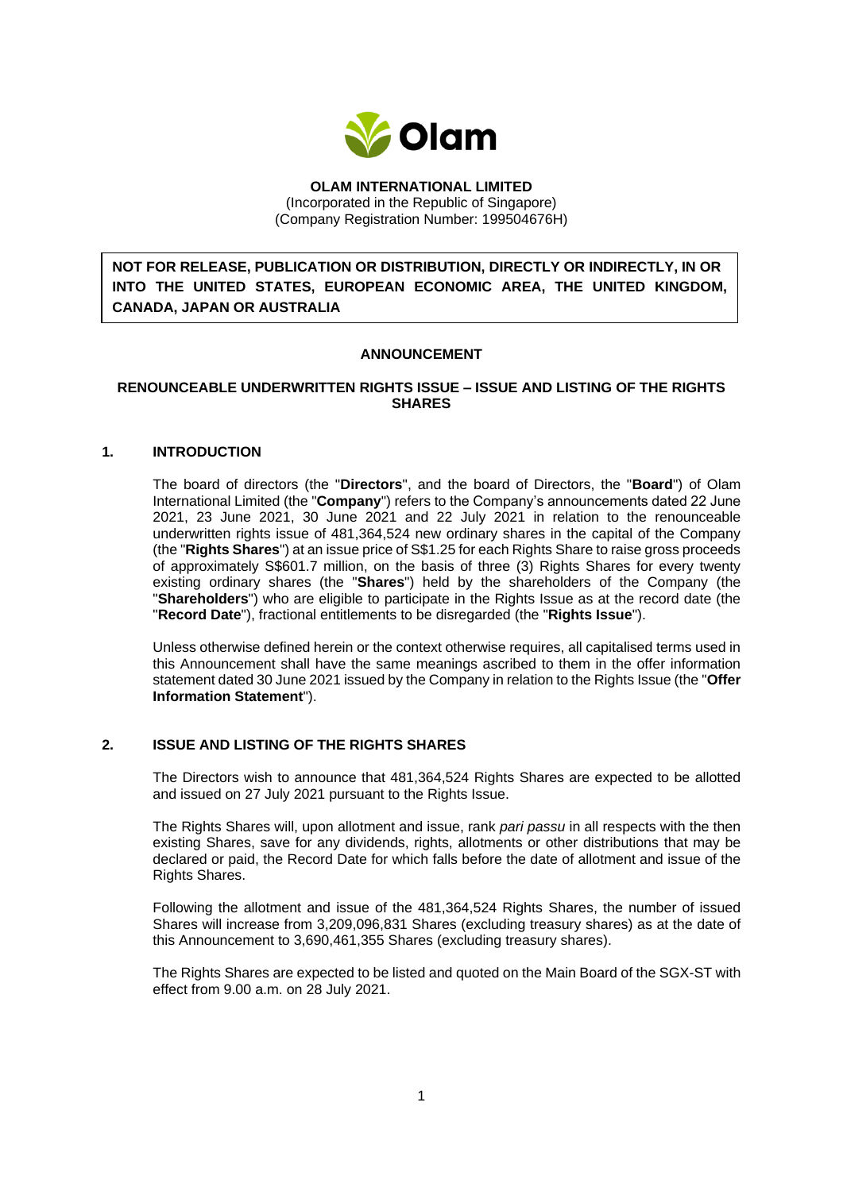

**OLAM INTERNATIONAL LIMITED** (Incorporated in the Republic of Singapore) (Company Registration Number: 199504676H)

**NOT FOR RELEASE, PUBLICATION OR DISTRIBUTION, DIRECTLY OR INDIRECTLY, IN OR INTO THE UNITED STATES, EUROPEAN ECONOMIC AREA, THE UNITED KINGDOM, CANADA, JAPAN OR AUSTRALIA**

## **ANNOUNCEMENT**

## **RENOUNCEABLE UNDERWRITTEN RIGHTS ISSUE – ISSUE AND LISTING OF THE RIGHTS SHARES**

#### **1. INTRODUCTION**

The board of directors (the "**Directors**", and the board of Directors, the "**Board**") of Olam International Limited (the "**Company**") refers to the Company's announcements dated 22 June 2021, 23 June 2021, 30 June 2021 and 22 July 2021 in relation to the renounceable underwritten rights issue of 481,364,524 new ordinary shares in the capital of the Company (the "**Rights Shares**") at an issue price of S\$1.25 for each Rights Share to raise gross proceeds of approximately S\$601.7 million, on the basis of three (3) Rights Shares for every twenty existing ordinary shares (the "**Shares**") held by the shareholders of the Company (the "**Shareholders**") who are eligible to participate in the Rights Issue as at the record date (the "**Record Date**"), fractional entitlements to be disregarded (the "**Rights Issue**").

Unless otherwise defined herein or the context otherwise requires, all capitalised terms used in this Announcement shall have the same meanings ascribed to them in the offer information statement dated 30 June 2021 issued by the Company in relation to the Rights Issue (the "**Offer Information Statement**").

### **2. ISSUE AND LISTING OF THE RIGHTS SHARES**

The Directors wish to announce that 481,364,524 Rights Shares are expected to be allotted and issued on 27 July 2021 pursuant to the Rights Issue.

The Rights Shares will, upon allotment and issue, rank *pari passu* in all respects with the then existing Shares, save for any dividends, rights, allotments or other distributions that may be declared or paid, the Record Date for which falls before the date of allotment and issue of the Rights Shares.

Following the allotment and issue of the 481,364,524 Rights Shares, the number of issued Shares will increase from 3,209,096,831 Shares (excluding treasury shares) as at the date of this Announcement to 3,690,461,355 Shares (excluding treasury shares).

The Rights Shares are expected to be listed and quoted on the Main Board of the SGX-ST with effect from 9.00 a.m. on 28 July 2021.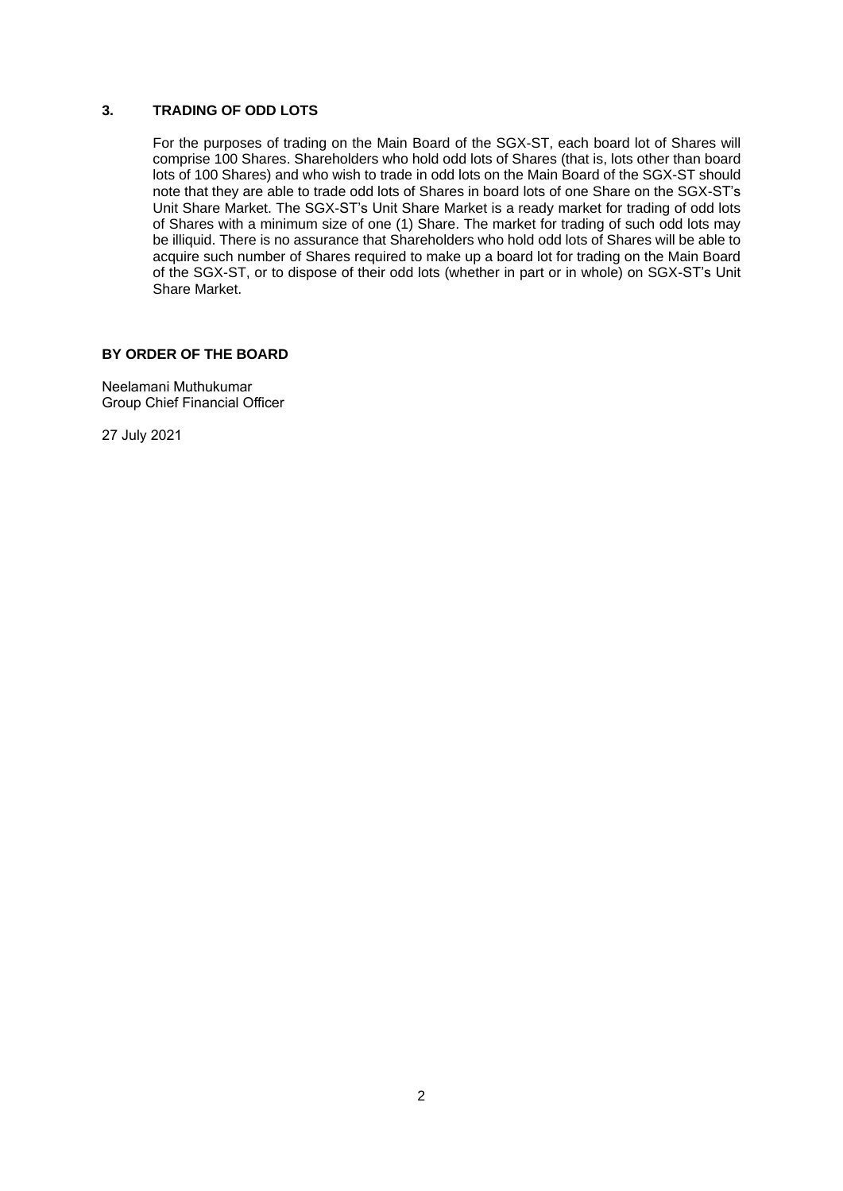# **3. TRADING OF ODD LOTS**

For the purposes of trading on the Main Board of the SGX-ST, each board lot of Shares will comprise 100 Shares. Shareholders who hold odd lots of Shares (that is, lots other than board lots of 100 Shares) and who wish to trade in odd lots on the Main Board of the SGX-ST should note that they are able to trade odd lots of Shares in board lots of one Share on the SGX-ST's Unit Share Market. The SGX-ST's Unit Share Market is a ready market for trading of odd lots of Shares with a minimum size of one (1) Share. The market for trading of such odd lots may be illiquid. There is no assurance that Shareholders who hold odd lots of Shares will be able to acquire such number of Shares required to make up a board lot for trading on the Main Board of the SGX-ST, or to dispose of their odd lots (whether in part or in whole) on SGX-ST's Unit Share Market.

## **BY ORDER OF THE BOARD**

Neelamani Muthukumar Group Chief Financial Officer

27 July 2021